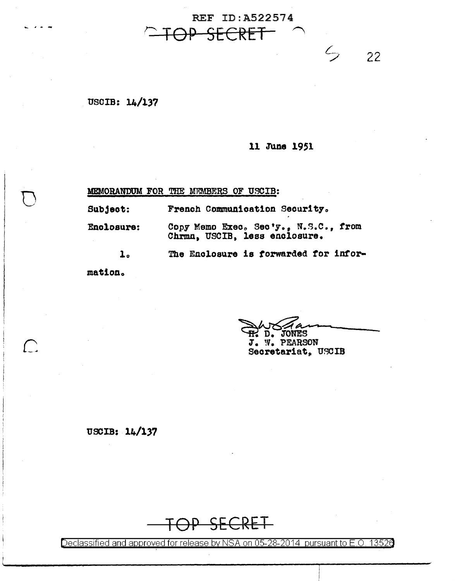**REF ID: A522574** 

USCIB: 14/137

## 11 June 1951

 $\zeta$ 

22

MEMORANDUM FOR THE MEMBERS OF USCIB:

Subject: French Communication Security.

Copy Memo Exec. Sec'y., N.S.C., from Enclosure: Chrmn, USCIB, less enclosure.

> The Enclosure is forwarded for infor- $\mathbf{1}$ .

mation.

 $\begin{pmatrix} 1 & 1 \\ 1 & 1 \end{pmatrix}$ 

 $D_{\bullet}$ **JONES** J. W. PEARSON Secretariat, USCIB

USCIB: 14/137

SECRET

Declassified and approved for release by NSA on 05-28-2014 pursuant to E.O. 13526